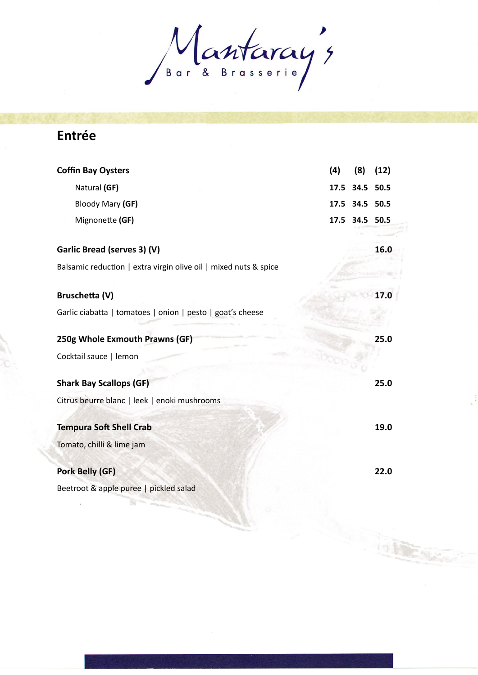Mantaray's

## **Entrée**

| <b>Coffin Bay Oysters</b>                                        | (4)  | (8)            | (12) |
|------------------------------------------------------------------|------|----------------|------|
| Natural (GF)                                                     |      | 17.5 34.5 50.5 |      |
| Bloody Mary (GF)                                                 |      | 17.5 34.5 50.5 |      |
| Mignonette (GF)                                                  | 17.5 | 34.5 50.5      |      |
| Garlic Bread (serves 3) (V)                                      |      |                | 16.0 |
| Balsamic reduction   extra virgin olive oil   mixed nuts & spice |      |                |      |
| <b>Bruschetta (V)</b>                                            |      |                | 17.0 |
| Garlic ciabatta   tomatoes   onion   pesto   goat's cheese       |      |                |      |
| 250g Whole Exmouth Prawns (GF)                                   |      |                | 25.0 |
| Cocktail sauce   lemon                                           |      |                |      |
| <b>Shark Bay Scallops (GF)</b>                                   |      |                | 25.0 |
| Citrus beurre blanc   leek   enoki mushrooms                     |      |                |      |
| <b>Tempura Soft Shell Crab</b>                                   |      |                | 19.0 |
| Tomato, chilli & lime jam                                        |      |                |      |
| <b>Pork Belly (GF)</b>                                           |      |                | 22.0 |
| Beetroot & apple puree   pickled salad                           |      |                |      |
|                                                                  |      |                |      |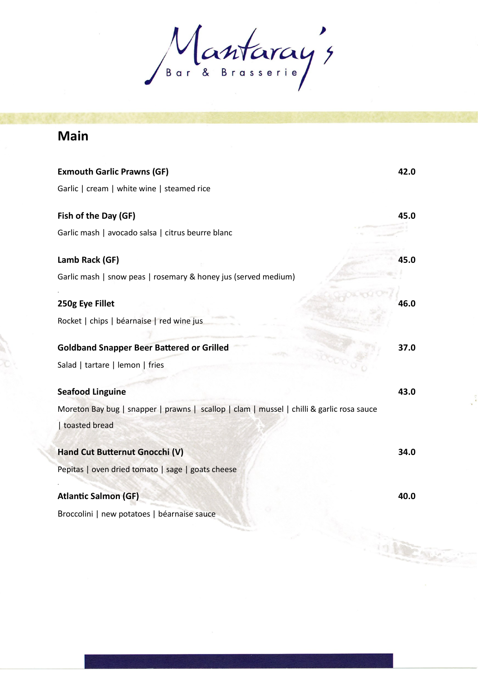Mantaray's

## **Main**

| <b>Exmouth Garlic Prawns (GF)</b>                                                         | 42.0 |
|-------------------------------------------------------------------------------------------|------|
| Garlic   cream   white wine   steamed rice                                                |      |
| Fish of the Day (GF)                                                                      | 45.0 |
| Garlic mash   avocado salsa   citrus beurre blanc                                         |      |
| Lamb Rack (GF)                                                                            | 45.0 |
| Garlic mash   snow peas   rosemary & honey jus (served medium)                            |      |
| 250g Eye Fillet                                                                           | 46.0 |
| Rocket   chips   béarnaise   red wine jus                                                 |      |
| <b>Goldband Snapper Beer Battered or Grilled</b>                                          | 37.0 |
| Salad   tartare   lemon   fries                                                           |      |
| <b>Seafood Linguine</b>                                                                   | 43.0 |
| Moreton Bay bug   snapper   prawns   scallop   clam   mussel   chilli & garlic rosa sauce |      |
| toasted bread                                                                             |      |
| Hand Cut Butternut Gnocchi (V)                                                            | 34.0 |
| Pepitas   oven dried tomato   sage   goats cheese                                         |      |
| <b>Atlantic Salmon (GF)</b>                                                               | 40.0 |
| Broccolini   new potatoes   béarnaise sauce                                               |      |